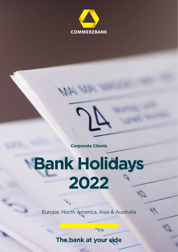



 $\mathcal{A}% _{1}=\mathcal{A}_{1}^{(1)}$ 

**Corporate Clients**

## **Bank Holidays 2022**

Europe, North America, Asia & Australia

**The bank at your side**

1500

U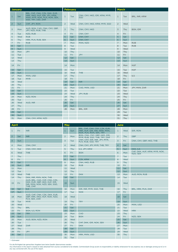| <b>January</b> |            |                                                                                                                       | <b>February</b> |     |                                             | <b>March</b>   |     |                       |
|----------------|------------|-----------------------------------------------------------------------------------------------------------------------|-----------------|-----|---------------------------------------------|----------------|-----|-----------------------|
| $\mathbf{1}$   | <b>Sat</b> | BRL, CHF, CNH, CZK, DKK, EUR,<br>HRK, HKD, HUF, IDR, JPY, KRW,<br>MXN, MYR, NOK, PLN, RON, SEK,<br>SGD, TRY, USD, ZAR | $\mathbf{1}$    | Tue | CNH, CNY, HKD, IDR, KRW, MYR,<br><b>SGD</b> | $\mathbf{1}$   | Tue | BRL, INR, KRW         |
| $\overline{a}$ | <b>Sun</b> | CHF, JPY, RON                                                                                                         | $\overline{2}$  | Wed | CNH, CNY, HKD, KRW, MYR, SGD                | $\overline{2}$ | Wed |                       |
| 3              | Mon        | AUD, BGN, CAD, CNH, CNY, GBP,<br>JPY, NZD, RUB, THB                                                                   | $\overline{3}$  | Thu | CNH, CNY, HKD                               | 3              | Thu | BGN, IDR              |
| $\overline{4}$ | Tue        | NZD, RUB                                                                                                              | $\overline{4}$  | Fri | CNH, CNY                                    | $\overline{4}$ | Fri |                       |
| 5              | Wed        | <b>RUB</b>                                                                                                            | 5               | Sat | CNH, CNY                                    | 5              | Sat |                       |
| 6              | Thu        | HRK, PLN, RUB, SEK                                                                                                    | $6\phantom{a}$  | Sun | CNH, CNY                                    | $6\phantom{a}$ | Sun |                       |
| $\overline{7}$ | Fri        | <b>RUB</b>                                                                                                            | $\overline{7}$  | Mon | MXN, NZD                                    | $\overline{7}$ | Mon | <b>RUB</b>            |
| 8              | Sat        |                                                                                                                       | 8               | Tue |                                             | 8              | Tue | <b>RUB</b>            |
| 9              | Sun        |                                                                                                                       | $\overline{9}$  | Wed |                                             | 9              | Wed |                       |
| 10             | Mon        | <b>JPY</b>                                                                                                            | 10              | Thu |                                             | 10             | Thu |                       |
| 11             | Tue        |                                                                                                                       | 11              | Fri | <b>JPY</b>                                  | 11             | Fri |                       |
| 12             | Wed        |                                                                                                                       | 12              | Sat |                                             | 12             | Sat |                       |
| 13             | Thu        |                                                                                                                       | 13              | Sun |                                             | 13             | Sun |                       |
| 14             | Fri        |                                                                                                                       | 14              | Mon |                                             | 14             | Mon | <b>HUF</b>            |
| 15             | Sat        |                                                                                                                       | 15              | Tue |                                             | 15             | Tue | <b>HUF</b>            |
| 16             | Sun        |                                                                                                                       | 16              | Wed | THB                                         | 16             | Wed |                       |
| 17             | Mon        | MXN, USD                                                                                                              | 17              | Thu |                                             | 17             | Thu | <b>ILS</b>            |
| 18             | Tue        | <b>MYR</b>                                                                                                            | 18              | Fri |                                             | 18             | Fri | <b>IN<sub>R</sub></b> |
| 19             | Wed        |                                                                                                                       | 19              | Sat | <b>INR</b>                                  | 19             | Sat |                       |
| 20             | Thu        |                                                                                                                       | 20              | Sun |                                             | 20             | Sun |                       |
| 21             | Fri        |                                                                                                                       | 21              | Mon | CAD, MXN, USD                               | 21             | Mon | JPY, MXN, ZAR         |
| 22             | Sat        |                                                                                                                       | 22              | Tue |                                             | 22             | Tue |                       |
| 23             | Sun        |                                                                                                                       | 23              | Wed | JPY, RUB                                    | 23             | Wed |                       |
| 24             | Mon        | NZD, RON                                                                                                              | 24              | Thu |                                             | 24             | Thu |                       |
| 25             | Tue        |                                                                                                                       | 25              | Fri |                                             | 25             | Fri |                       |
| 26             | Wed        | AUD, INR                                                                                                              | 26              | Sat |                                             | 26             | Sat |                       |
| 27             | Thu        |                                                                                                                       | 27              | Sun |                                             | 27             | Sun |                       |
| 28             | Fri        |                                                                                                                       | 28              | Mon | BRL, IDR                                    | 28             | Mon |                       |
| 29             | Sat        |                                                                                                                       |                 |     |                                             | 29             | Tue |                       |
| 30             | Sun        |                                                                                                                       |                 |     |                                             | 30             | Wed |                       |
| 31             | Mon        | CNH, CNY, KRW, NZD                                                                                                    |                 |     |                                             | 31             | Thu |                       |
|                |            |                                                                                                                       |                 |     |                                             |                |     |                       |

| <b>April</b>   |            | May                                                                                                         |                |            | June                                                                                      |                |            |                                           |
|----------------|------------|-------------------------------------------------------------------------------------------------------------|----------------|------------|-------------------------------------------------------------------------------------------|----------------|------------|-------------------------------------------|
| $\mathbf{1}$   | Fri        | <b>INR</b>                                                                                                  | 1              | <b>Sun</b> | BRL, CHF, CNH, CNY, CZK, EUR,<br>HRK, HUF, IDR, INR, KRW, MXN,<br>NOK, PLN, RON, SEK, TRY | $\mathbf{1}$   | Wed        | <b>IDR, RON</b>                           |
| $\overline{2}$ | Sat        | <b>INR</b>                                                                                                  | $\overline{2}$ | Mon        | BGN, CNH, CNY, GBP, HKD, IDR,<br>MYR, RUB, SGD, THB, TRY, ZAR                             | $\overline{2}$ | Thu        | <b>GBP</b>                                |
| $\overline{3}$ | <b>Sun</b> |                                                                                                             | 3              | <b>Tue</b> | CNH, CNY, IDR, INR, JPY, MYR,<br>PLN, RUB, SGD, TRY                                       | 3              | Fri        | CNH. CNY. GBP. HKD. THB                   |
| 4              | Mon        | CNH, CNY                                                                                                    | $\overline{4}$ | Wed        | CNH, CNY, JPY, MYR, THB, TRY                                                              | 4              | Sat        |                                           |
| 5              | Tue        | CNH, CNY, HKD                                                                                               | 5              | <b>Thu</b> | ILS, JPY, KRW                                                                             | 5 <sup>5</sup> | <b>Sun</b> | DKK, ILS                                  |
| 6              | Wed        | <b>THB</b>                                                                                                  | 6              | Fri        | <b>BGN</b>                                                                                | 6              | Mon        | CHF, DKK, HUF, KRW, MYR, NOK,<br>NZD, SEK |
| $\overline{7}$ | Thu        |                                                                                                             | $\overline{7}$ | Sat        |                                                                                           | $\overline{7}$ | <b>Tue</b> |                                           |
| 8              | Fri        |                                                                                                             | 8              | Sun        | CZK, KRW                                                                                  | 8              | Wed        |                                           |
| $\overline{9}$ | Sat        |                                                                                                             | $\overline{9}$ | Mon        | CNH, HKD, RUB                                                                             | 9              | Thu        |                                           |
| 10             | <b>Sun</b> | <b>INR</b>                                                                                                  | 10             | Tue        | <b>RUB</b>                                                                                | 10             | Fri        |                                           |
| 11             | Mon        |                                                                                                             | 11             | Wed        |                                                                                           | 11             | Sat        |                                           |
| 12             | Tue        |                                                                                                             | 12             | Thu        |                                                                                           | 12             | Sun        |                                           |
| 13             | Wed        | THB                                                                                                         | 13             | Fri        | <b>DKK</b>                                                                                | 13             | Mon        | AUD, RON, RUB                             |
| 14             | Thu        | DKK, INR, MXN, NOK, THB                                                                                     | 14             | Sat        |                                                                                           | 14             | Tue        |                                           |
| 15             | Fri        | AUD, BRL, CAD, CHF, CNH, CZK,<br>DKK, EUR, GBP, HKD, HUF, IDR,<br>INR, MXN, NOK, NZD, SEK, SGD,<br>THB, ZAR | 15             | <b>Sun</b> |                                                                                           | 15             | Wed        |                                           |
| 16             | Sat        | <b>ILS</b>                                                                                                  | 16             | Mon        | IDR, INR, MYR, SGD, THB                                                                   | 16             | Thu        | BRL, HRK, PLN, ZAR                        |
| 17             | <b>Sun</b> |                                                                                                             | 17             | Tue        | <b>NOK</b>                                                                                | 17             | Fri        |                                           |
| 18             | Mon        | AUD, CHF, CNH, CZK, DKK, EUR,<br>GBP, HRK, HKD, HUF, NOK, NZD,<br>PLN, SEK, ZAR                             | 18             | Wed        |                                                                                           | 18             | Sat        |                                           |
| 19             | Tue        | <b>MYR</b>                                                                                                  | 19             | Thu        | <b>TRY</b>                                                                                | 19             | Sun        |                                           |
| 20             | Wed        |                                                                                                             | 20             | Fri        |                                                                                           | 20             | Mon        | MXN, USD                                  |
| 21             | Thu        | <b>BRL</b>                                                                                                  | 21             | Sat        |                                                                                           | 21             | <b>Tue</b> |                                           |
| 22             | Fri        | <b>BGN, ILS, RON</b>                                                                                        | 22             | Sun        |                                                                                           | 22             | Wed        | <b>HRK</b>                                |
| 23             | Sat        | <b>TRY</b>                                                                                                  | 23             | Mon        | CAD                                                                                       | 23             | Thu        |                                           |
| 24             | Sun        |                                                                                                             | 24             | Tue        | <b>BGN</b>                                                                                | 24             | Fri        | NZD, SEK                                  |
| 25             | Mon        | AUD, BGN, NZD, RON                                                                                          | 25             | Wed        |                                                                                           | 25             | Sat        |                                           |
| 26             | Tue        |                                                                                                             | 26             | Thu        | CHF, DKK, IDR, NOK, SEK                                                                   | 26             | Sun        |                                           |
| 27             | Wed        | ZAR                                                                                                         | 27             | Fri        | <b>DKK</b>                                                                                | 27             | Mon        |                                           |
| 28             | Thu        |                                                                                                             | 28             | Sat        |                                                                                           | 28             | <b>Tue</b> |                                           |
| 29             | Fri        | <b>JPY</b>                                                                                                  | 29             | Sun        |                                                                                           | 29             | Wed        |                                           |
| 30             | Sat        |                                                                                                             | 30             | Mon        | HRK, MXN, USD                                                                             | 30             | Thu        |                                           |
|                |            |                                                                                                             | 31             | Tue        |                                                                                           |                |            |                                           |
| * = Estimated  |            |                                                                                                             |                |            |                                                                                           |                |            |                                           |

Für die Richtigkeit der gemachten Angaben kann keine Gewähr übernommen werden.<br>Any Information in this report is based on data outsained from sources considered to be reliable. Commerzbank Group accets no responsibility or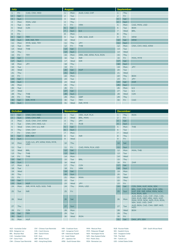| July           |     | <b>August</b>        |                |     | <b>September</b>        |                  |            |                    |
|----------------|-----|----------------------|----------------|-----|-------------------------|------------------|------------|--------------------|
| $\mathbf{1}$   | Fri | CAD, CNH, HKD        | $\mathbf{1}$   | Mon | AUD, CAD, CHF           | $\mathbf{1}$     | Thu        |                    |
| $\overline{2}$ | Sat |                      | $\overline{a}$ | Tue |                         | $\overline{2}$   | Fri        |                    |
| $\overline{3}$ | Sun |                      | $\overline{3}$ | Wed |                         | $\overline{3}$   | Sat        |                    |
| $\overline{4}$ | Mon | MXN, USD             | 4              | Thu |                         | $\overline{4}$   | Sun        |                    |
| 5              | Tue | <b>CZK</b>           | 5              | Fri | <b>HRK</b>              | 5                | Mon        | CAD, MXN, USD      |
| 6              | Wed | <b>CZK</b>           | 6              | Sat |                         | 6                | <b>Tue</b> | <b>BGN</b>         |
| $\overline{7}$ | Thu |                      | $\overline{7}$ | Sun | <b>ILS</b>              | $\overline{7}$   | Wed        | <b>BRL</b>         |
| 8              | Fri |                      | 8              | Mon |                         | $\boldsymbol{8}$ | Thu        |                    |
| 9              | Sat | <b>TRY</b>           | 9              | Tue | INR, SGD, ZAR           | 9                | Fri        | <b>KRW</b>         |
| 10             | Sun | <b>IDR, INR, TRY</b> | 10             | Wed |                         | 10               | Sat        | <b>KRW</b>         |
| 11             | Mon | MYR, SGD, TRY        | 11             | Thu | <b>JPY</b>              | 11               | Sun        |                    |
| 12             | Tue | <b>TRY</b>           | 12             | Fri | THB                     | 12               | Mon        | CNH, CNY, HKD, KRW |
| 13             | Wed | THB                  | 13             | Sat |                         | 13               | Tue        |                    |
| 14             | Thu |                      | 14             | Sun |                         | 14               | Wed        |                    |
| 15             | Fri | <b>TRY</b>           | 15             | Mon | HRK, INR, KRW, PLN, RON | 15               | Thu        |                    |
| 16             | Sat |                      | 16             | Tue | <b>INR</b>              | 16               | Fri        | MXN, MYR           |
| 17             | Sun |                      | 17             | Wed | <b>IDR</b>              | 17               | Sat        |                    |
| 18             | Mon | <b>JPY</b>           | 18             | Thu |                         | 18               | Sun        |                    |
| 19             | Tue |                      | 19             | Fri |                         | 19               | Mon        | <b>JPY</b>         |
| 20             | Wed |                      | 20             | Sat | <b>HUF</b>              | 20               | Tue        |                    |
| 21             | Thu |                      | 21             | Sun |                         | 21               | Wed        |                    |
| 22             | Fri |                      | 22             | Mon |                         | 22               | Thu        | <b>BGN</b>         |
| 23             | Sat |                      | 23             | Tue |                         | 23               | Fri        | <b>JPY</b>         |
| 24             | Sun |                      | 24             | Wed |                         | 24               | Sat        | ZAR                |
| 25             | Mon |                      | 25             | Thu |                         | 25               | Sun        |                    |
| 26             | Tue |                      | 26             | Fri |                         | 26               | Mon        | <b>ILS</b>         |
| 27             | Wed |                      | 27             | Sat |                         | 27               | Tue        | ILS.               |
| 28             | Thu | THB                  | 28             | Sun |                         | 28               | Wed        | <b>CZK</b>         |
| 29             | Fri | <b>THB</b>           | 29             | Mon | <b>GBP</b>              | 29               | Thu        |                    |
| 30             | Sat | <b>IDR, MYR</b>      | 30             | Tue | <b>TRY</b>              | 30               | Fri        | CAD                |
| 31             | Sun |                      | 31             | Wed | INR, MYR                |                  |            |                    |

| October          |            | <b>November</b>                             |                |     | <b>December</b>    |                |            |                                                                                                                       |
|------------------|------------|---------------------------------------------|----------------|-----|--------------------|----------------|------------|-----------------------------------------------------------------------------------------------------------------------|
| 1                | Sat        | CNH, CNY, HKD                               | 1              | Tue | HRK, HUF, PLN      | $\mathbf{1}$   | Thu        | <b>RON</b>                                                                                                            |
| $\overline{2}$   | Sun        | CNH, CNY, INR                               | $\overline{a}$ | Wed | <b>BRL, MXN</b>    | $\overline{2}$ | Fri        |                                                                                                                       |
| $\overline{3}$   | Mon        | AUD, CNH, CNY, KRW                          | 3              | Thu | <b>JPY</b>         | $\overline{3}$ | Sat        |                                                                                                                       |
| $\overline{4}$   | Tue        | CNH, CNY, HKD, ILS                          | 4              | Fri | <b>RUB</b>         | $\overline{4}$ | Sun        |                                                                                                                       |
| 5                | Wed        | CNH, CNY, ILS, INR                          | 5              | Sat |                    | 5              | Mon        | THB                                                                                                                   |
| 6                | Thu        | CNH, CNY                                    | 6              | Sun |                    | 6              | Tue        |                                                                                                                       |
| $\overline{7}$   | Fri        | CNH, CNY                                    | $\overline{7}$ | Mon |                    | $\overline{7}$ | Wed        |                                                                                                                       |
| $\boldsymbol{8}$ | Sat        | IDR, INR                                    | 8              | Tue | <b>INR</b>         | 8              | Thu        |                                                                                                                       |
| $\overline{9}$   | Sun        |                                             | 9              | Wed |                    | $\overline{9}$ | Fri        |                                                                                                                       |
| 10               | <b>Mon</b> | CAD, ILS, JPY, KRW, MXN, MYR,<br><b>USD</b> | 10             | Thu |                    | 10             | Sat        |                                                                                                                       |
| 11               | Tue        |                                             | 11             | Fri | CAD, MXN, PLN, USD | 11             | Sun        |                                                                                                                       |
| 12               | Wed        | <b>BRL</b>                                  | 12             | Sat |                    | 12             | Mon        | MXN, THB                                                                                                              |
| 13               | Thu        | THB                                         | 13             | Sun |                    | 13             | Tue        |                                                                                                                       |
| 14               | Fri        | THB                                         | 14             | Mon |                    | 14             | Wed        |                                                                                                                       |
| 15               | Sat        |                                             | 15             | Tue | <b>BRL</b>         | 15             | Thu        |                                                                                                                       |
| 16               | Sun        |                                             | 16             | Wed |                    | 16             | Fri        | ZAR                                                                                                                   |
| 17               | Mon        | <b>ILS</b>                                  | 17             | Thu | <b>CZK</b>         | 17             | Sat        |                                                                                                                       |
| 18               | Tue        |                                             | 18             | Fri | <b>HRK</b>         | 18             | Sun        |                                                                                                                       |
| 19               | Wed        |                                             | 19             | Sat |                    | 19             | Mon        |                                                                                                                       |
| 20               | Thu        |                                             | 20             | Sun |                    | 20             | Tue        |                                                                                                                       |
| 21               | Fri        |                                             | 21             | Mon | <b>MXN</b>         | 21             | Wed        |                                                                                                                       |
| 22               | Sat        |                                             | 22             | Tue |                    | 22             | Thu        |                                                                                                                       |
| 23               | Sun        | <b>HUF</b>                                  | 23             | Wed | <b>JPY</b>         | 23             | Fri        |                                                                                                                       |
| 24               | Mon        | INR, MYR, NZD, SGD, THB                     | 24             | Thu | MXN, USD           | 24             | Sat        | CZK, DKK, HUF, NOK, SEK                                                                                               |
| 25               | Tue        | <b>INR</b>                                  | 25             | Fri |                    | 25             | <b>Sun</b> | BRL, CHF, CZK, DKK, EUR, HRK,<br>HUF, IDR, INR, KRW, MXN, NOK,<br>PLN, RON, SEK                                       |
| 26               | Wed        |                                             | 26             | Sat |                    | 26             | Mon        | AUD, BGN, CAD, CHF, CNH, CZK,<br>DKK, EUR, GBP, HRK, HKD, HUF,<br>MXN, MYR, NOK, NZD, PLN, RON,<br>SEK, SGD, USD, ZAR |
| 27               | Thu        |                                             | 27             | Sun |                    | 27             | Tue        | AUD, BGN, CAD, CNH, GBP, HKD,<br><b>NZD</b>                                                                           |
| 28               | Fri        | <b>CZK</b>                                  | 28             | Mon |                    | 28             | Wed        | <b>BGN</b>                                                                                                            |
| 29               | Sat        | <b>TRY</b>                                  | 29             | Tue |                    | 29             | <b>Thu</b> |                                                                                                                       |
| 30               | Sun        |                                             | 30             | Wed | <b>RON</b>         | 30             | Fri        |                                                                                                                       |
| 31               | Mon        | <b>HUF</b>                                  |                |     |                    | 31             | Sat        | DKK, JPY, SEK                                                                                                         |

AUD - Australian Dollar BGN - Bulgarian Lev BRL - Brazilian Real CAD - Canadian Dollar

CHF - Swiss Franc

CNH - Chinese Yuan Renminbi HKD - Hong Kong Dollar CNY - Chinese Yuan Renminbi CZK - Czech Koruna DKK - Danish Krone EUR - Euro GBP - British Pound

HRK - Croatioan Kuna HUF - Hungarian Forint IDR - Indonesian Rupiah ILS - Israeli Shekel JPY - Japanese Yen KRW - South Korean Won MXN - Mexican Peso MYR - Malaysian Ringgit NOK - Norwegian Krone NZD - New Zealand Dollar PLN - Polish Zloty RON - Romanian Leu

RUB - Russian Ruble SEK - Swedish Krona SGD - Singapore Dollar THB - Thai Baht TRY - Turkish Lira USD - United States Dollar ZAR - South African Rand